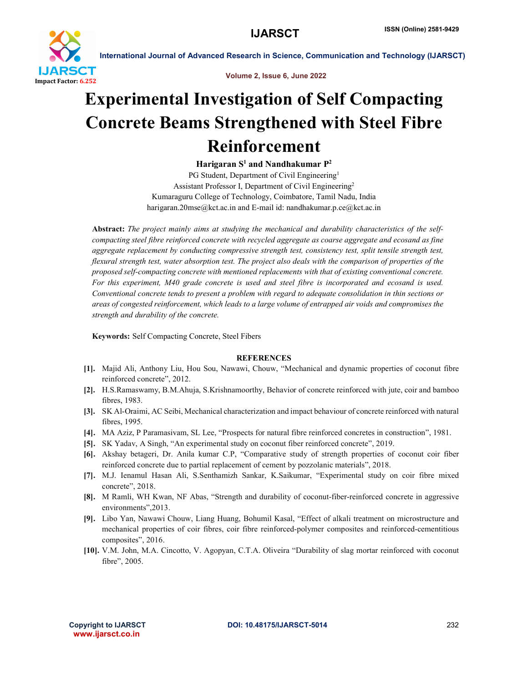

International Journal of Advanced Research in Science, Communication and Technology (IJARSCT)

Volume 2, Issue 6, June 2022

## Experimental Investigation of Self Compacting Concrete Beams Strengthened with Steel Fibre Reinforcement

Harigaran  $S^1$  and Nandhakumar  $P^2$ 

PG Student, Department of Civil Engineering<sup>1</sup> Assistant Professor I, Department of Civil Engineering2 Kumaraguru College of Technology, Coimbatore, Tamil Nadu, India harigaran.20mse@kct.ac.in and E-mail id: nandhakumar.p.ce@kct.ac.in

Abstract: *The project mainly aims at studying the mechanical and durability characteristics of the selfcompacting steel fibre reinforced concrete with recycled aggregate as coarse aggregate and ecosand as fine aggregate replacement by conducting compressive strength test, consistency test, split tensile strength test, flexural strength test, water absorption test. The project also deals with the comparison of properties of the proposed self-compacting concrete with mentioned replacements with that of existing conventional concrete. For this experiment, M40 grade concrete is used and steel fibre is incorporated and ecosand is used. Conventional concrete tends to present a problem with regard to adequate consolidation in thin sections or areas of congested reinforcement, which leads to a large volume of entrapped air voids and compromises the strength and durability of the concrete.*

Keywords: Self Compacting Concrete, Steel Fibers

## **REFERENCES**

- [1]. Majid Ali, Anthony Liu, Hou Sou, Nawawi, Chouw, "Mechanical and dynamic properties of coconut fibre reinforced concrete", 2012.
- [2]. H.S.Ramaswamy, B.M.Ahuja, S.Krishnamoorthy, Behavior of concrete reinforced with jute, coir and bamboo fibres, 1983.
- [3]. SK Al-Oraimi, AC Seibi, Mechanical characterization and impact behaviour of concrete reinforced with natural fibres, 1995.
- [4]. MA Aziz, P Paramasivam, SL Lee, "Prospects for natural fibre reinforced concretes in construction", 1981.
- [5]. SK Yadav, A Singh, "An experimental study on coconut fiber reinforced concrete", 2019.
- [6]. Akshay betageri, Dr. Anila kumar C.P, "Comparative study of strength properties of coconut coir fiber reinforced concrete due to partial replacement of cement by pozzolanic materials", 2018.
- [7]. M.J. Ienamul Hasan Ali, S.Senthamizh Sankar, K.Saikumar, "Experimental study on coir fibre mixed concrete", 2018.
- [8]. M Ramli, WH Kwan, NF Abas, "Strength and durability of coconut-fiber-reinforced concrete in aggressive environments",2013.
- [9]. Libo Yan, Nawawi Chouw, Liang Huang, Bohumil Kasal, "Effect of alkali treatment on microstructure and mechanical properties of coir fibres, coir fibre reinforced-polymer composites and reinforced-cementitious composites", 2016.
- [10]. V.M. John, M.A. Cincotto, V. Agopyan, C.T.A. Oliveira "Durability of slag mortar reinforced with coconut fibre", 2005.